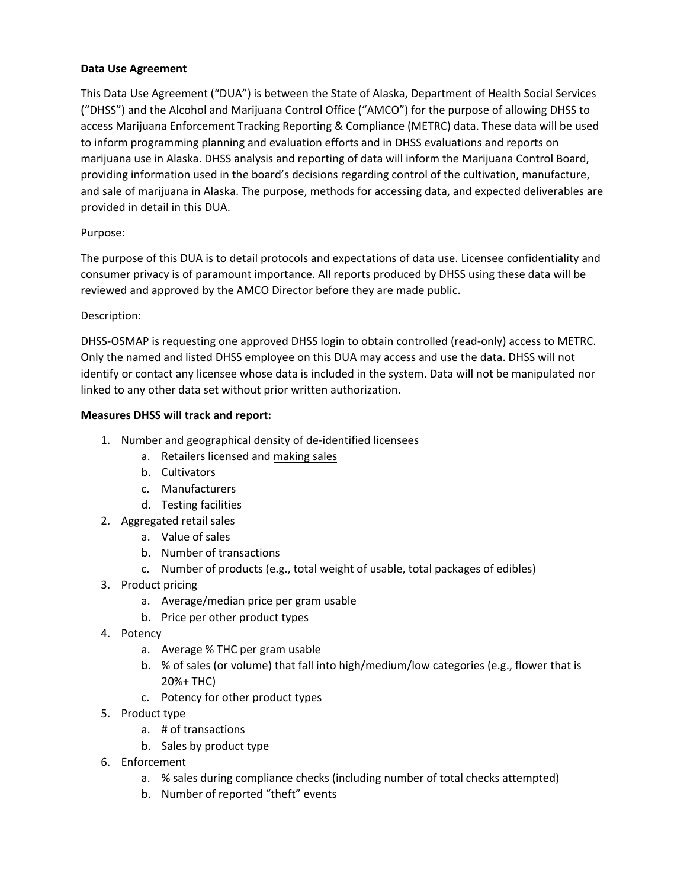### **Data Use Agreement**

This Data Use Agreement ("DUA") is between the State of Alaska, Department of Health Social Services ("DHSS") and the Alcohol and Marijuana Control Office ("AMCO") for the purpose of allowing DHSS to access Marijuana Enforcement Tracking Reporting & Compliance (METRC) data. These data will be used to inform programming planning and evaluation efforts and in DHSS evaluations and reports on marijuana use in Alaska. DHSS analysis and reporting of data will inform the Marijuana Control Board, providing information used in the board's decisions regarding control of the cultivation, manufacture, and sale of marijuana in Alaska. The purpose, methods for accessing data, and expected deliverables are provided in detail in this DUA.

### Purpose:

The purpose of this DUA is to detail protocols and expectations of data use. Licensee confidentiality and consumer privacy is of paramount importance. All reports produced by DHSS using these data will be reviewed and approved by the AMCO Director before they are made public.

#### Description:

DHSS‐OSMAP is requesting one approved DHSS login to obtain controlled (read‐only) access to METRC. Only the named and listed DHSS employee on this DUA may access and use the data. DHSS will not identify or contact any licensee whose data is included in the system. Data will not be manipulated nor linked to any other data set without prior written authorization.

#### **Measures DHSS will track and report:**

- 1. Number and geographical density of de‐identified licensees
	- a. Retailers licensed and making sales
	- b. Cultivators
	- c. Manufacturers
	- d. Testing facilities
- 2. Aggregated retail sales
	- a. Value of sales
	- b. Number of transactions
	- c. Number of products (e.g., total weight of usable, total packages of edibles)
- 3. Product pricing
	- a. Average/median price per gram usable
	- b. Price per other product types
- 4. Potency
	- a. Average % THC per gram usable
	- b. % of sales (or volume) that fall into high/medium/low categories (e.g., flower that is 20%+ THC)
	- c. Potency for other product types
- 5. Product type
	- a. # of transactions
	- b. Sales by product type
- 6. Enforcement
	- a. % sales during compliance checks (including number of total checks attempted)
	- b. Number of reported "theft" events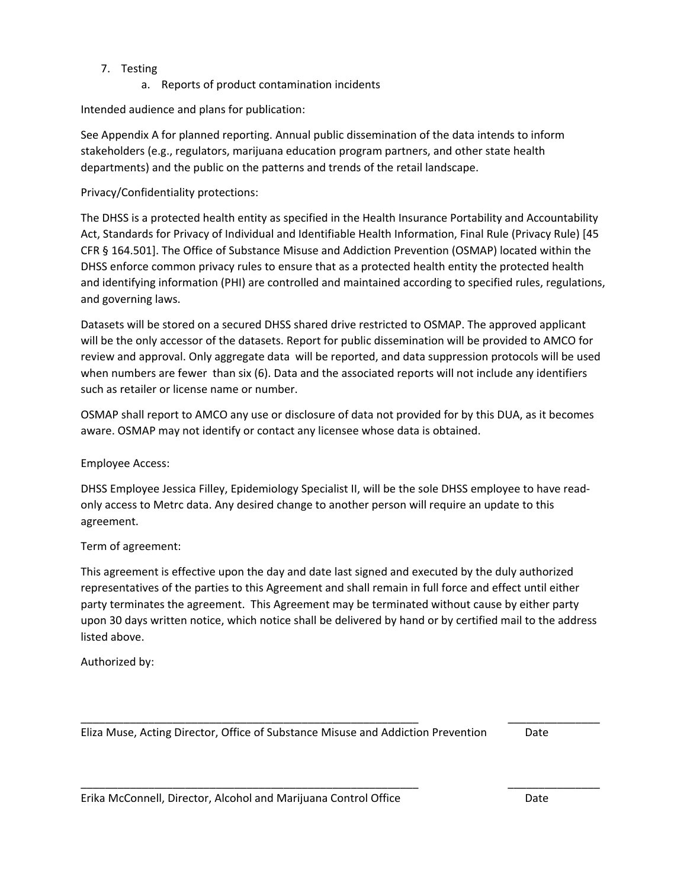## 7. Testing

a. Reports of product contamination incidents

Intended audience and plans for publication:

See Appendix A for planned reporting. Annual public dissemination of the data intends to inform stakeholders (e.g., regulators, marijuana education program partners, and other state health departments) and the public on the patterns and trends of the retail landscape.

## Privacy/Confidentiality protections:

The DHSS is a protected health entity as specified in the Health Insurance Portability and Accountability Act, Standards for Privacy of Individual and Identifiable Health Information, Final Rule (Privacy Rule) [45 CFR § 164.501]. The Office of Substance Misuse and Addiction Prevention (OSMAP) located within the DHSS enforce common privacy rules to ensure that as a protected health entity the protected health and identifying information (PHI) are controlled and maintained according to specified rules, regulations, and governing laws.

Datasets will be stored on a secured DHSS shared drive restricted to OSMAP. The approved applicant will be the only accessor of the datasets. Report for public dissemination will be provided to AMCO for review and approval. Only aggregate data will be reported, and data suppression protocols will be used when numbers are fewer than six (6). Data and the associated reports will not include any identifiers such as retailer or license name or number.

OSMAP shall report to AMCO any use or disclosure of data not provided for by this DUA, as it becomes aware. OSMAP may not identify or contact any licensee whose data is obtained.

Employee Access:

DHSS Employee Jessica Filley, Epidemiology Specialist II, will be the sole DHSS employee to have read‐ only access to Metrc data. Any desired change to another person will require an update to this agreement.

## Term of agreement:

This agreement is effective upon the day and date last signed and executed by the duly authorized representatives of the parties to this Agreement and shall remain in full force and effect until either party terminates the agreement. This Agreement may be terminated without cause by either party upon 30 days written notice, which notice shall be delivered by hand or by certified mail to the address listed above.

\_\_\_\_\_\_\_\_\_\_\_\_\_\_\_\_\_\_\_\_\_\_\_\_\_\_\_\_\_\_\_\_\_\_\_\_\_\_\_\_\_\_\_\_\_\_\_\_\_\_\_\_\_\_\_ \_\_\_\_\_\_\_\_\_\_\_\_\_\_\_

\_\_\_\_\_\_\_\_\_\_\_\_\_\_\_\_\_\_\_\_\_\_\_\_\_\_\_\_\_\_\_\_\_\_\_\_\_\_\_\_\_\_\_\_\_\_\_\_\_\_\_\_\_\_\_ \_\_\_\_\_\_\_\_\_\_\_\_\_\_\_

Authorized by:

Eliza Muse, Acting Director, Office of Substance Misuse and Addiction Prevention Date

Erika McConnell, Director, Alcohol and Marijuana Control Office *Date* Date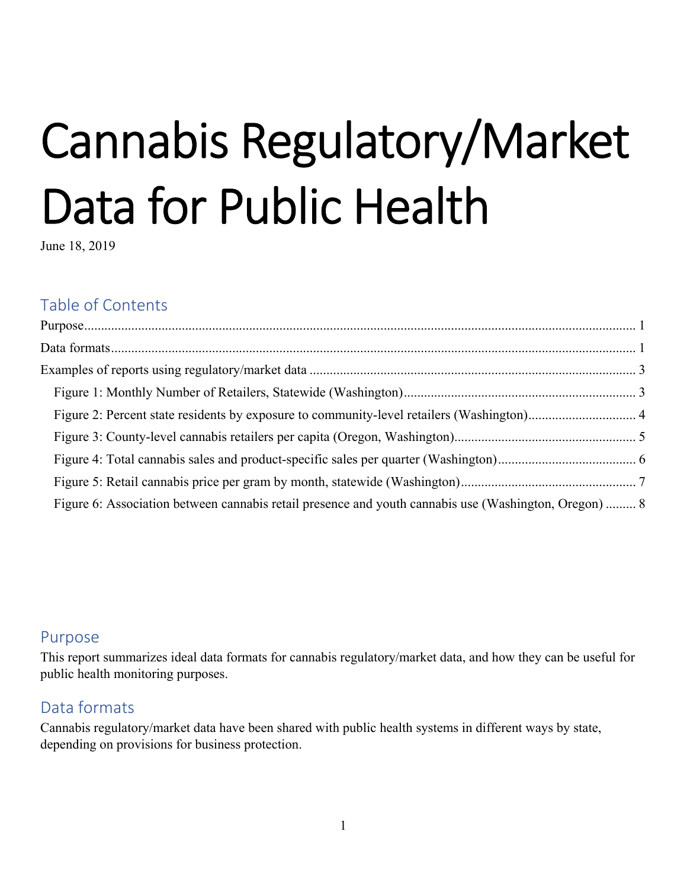# Cannabis Regulatory/Market Data for Public Health

June 18, 2019

# Table of Contents

| Figure 6: Association between cannabis retail presence and youth cannabis use (Washington, Oregon)  8 |  |
|-------------------------------------------------------------------------------------------------------|--|

# Purpose

This report summarizes ideal data formats for cannabis regulatory/market data, and how they can be useful for public health monitoring purposes.

# Data formats

Cannabis regulatory/market data have been shared with public health systems in different ways by state, depending on provisions for business protection.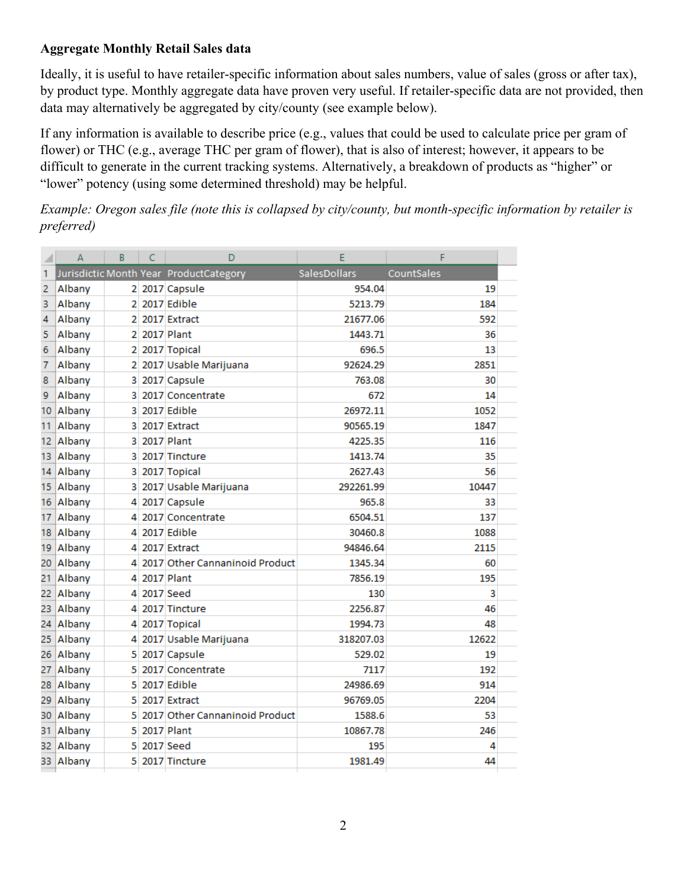# **Aggregate Monthly Retail Sales data**

Ideally, it is useful to have retailer-specific information about sales numbers, value of sales (gross or after tax), by product type. Monthly aggregate data have proven very useful. If retailer-specific data are not provided, then data may alternatively be aggregated by city/county (see example below).

If any information is available to describe price (e.g., values that could be used to calculate price per gram of flower) or THC (e.g., average THC per gram of flower), that is also of interest; however, it appears to be difficult to generate in the current tracking systems. Alternatively, a breakdown of products as "higher" or "lower" potency (using some determined threshold) may be helpful.

*Example: Oregon sales file (note this is collapsed by city/county, but month-specific information by retailer is preferred)* 

|    | A      | R | C | D                                      | F            | F          |  |
|----|--------|---|---|----------------------------------------|--------------|------------|--|
| 1  |        |   |   | Jurisdictic Month Year ProductCategory | SalesDollars | CountSales |  |
| 2  | Albany |   |   | 2 2017 Capsule                         | 954.04       | 19         |  |
| 3  | Albany |   |   | 2 2017 Edible                          | 5213.79      | 184        |  |
| 4  | Albany | 2 |   | 2017 Extract                           | 21677.06     | 592        |  |
| 5  | Albany | 2 |   | 2017 Plant                             | 1443.71      | 36         |  |
| 6  | Albany | 2 |   | 2017 Topical                           | 696.5        | 13         |  |
| 7  | Albany | 2 |   | 2017 Usable Marijuana                  | 92624.29     | 2851       |  |
| 8  | Albany | 3 |   | 2017 Capsule                           | 763.08       | 30         |  |
| 9  | Albany | 3 |   | 2017 Concentrate                       | 672          | 14         |  |
| 10 | Albany | 3 |   | 2017 Edible                            | 26972.11     | 1052       |  |
| 11 | Albany | 3 |   | 2017 Extract                           | 90565.19     | 1847       |  |
| 12 | Albany | 3 |   | 2017 Plant                             | 4225.35      | 116        |  |
| 13 | Albany | 3 |   | 2017 Tincture                          | 1413.74      | 35         |  |
| 14 | Albany | 3 |   | 2017 Topical                           | 2627.43      | 56         |  |
| 15 | Albany | 3 |   | 2017 Usable Marijuana                  | 292261.99    | 10447      |  |
| 16 | Albany | 4 |   | 2017 Capsule                           | 965.8        | 33         |  |
| 17 | Albany | 4 |   | 2017 Concentrate                       | 6504.51      | 137        |  |
| 18 | Albany | 4 |   | 2017 Edible                            | 30460.8      | 1088       |  |
| 19 | Albany | 4 |   | 2017 Extract                           | 94846.64     | 2115       |  |
| 20 | Albany | 4 |   | 2017 Other Cannaninoid Product         | 1345.34      | 60         |  |
| 21 | Albany | 4 |   | 2017 Plant                             | 7856.19      | 195        |  |
| 22 | Albany | Δ |   | 2017 Seed                              | 130          | 3          |  |
| 23 | Albany | 4 |   | 2017 Tincture                          | 2256.87      | 46         |  |
| 24 | Albany | 4 |   | 2017 Topical                           | 1994.73      | 48         |  |
| 25 | Albany | 4 |   | 2017 Usable Marijuana                  | 318207.03    | 12622      |  |
| 26 | Albany | 5 |   | 2017 Capsule                           | 529.02       | 19         |  |
| 27 | Albany | 5 |   | 2017 Concentrate                       | 7117         | 192        |  |
| 28 | Albany | 5 |   | 2017 Edible                            | 24986.69     | 914        |  |
| 29 | Albany | 5 |   | 2017 Extract                           | 96769.05     | 2204       |  |
| 30 | Albany | 5 |   | 2017 Other Cannaninoid Product         | 1588.6       | 53         |  |
| 31 | Albany | 5 |   | 2017 Plant                             | 10867.78     | 246        |  |
| 32 | Albany | 5 |   | 2017 Seed                              | 195          | 4          |  |
| 33 | Albany | 5 |   | 2017 Tincture                          | 1981.49      | 44         |  |
|    |        |   |   |                                        |              |            |  |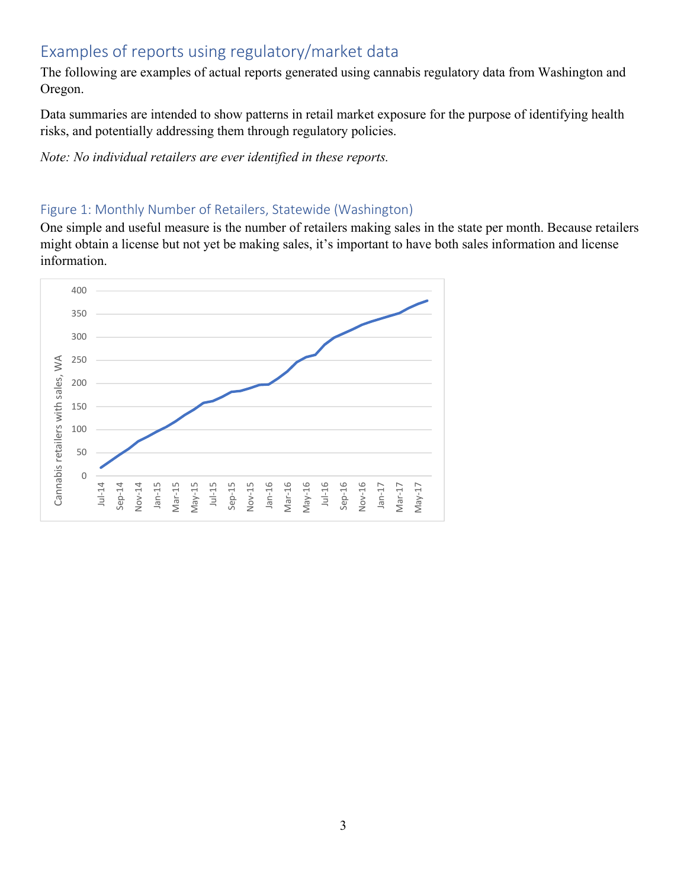# Examples of reports using regulatory/market data

The following are examples of actual reports generated using cannabis regulatory data from Washington and Oregon.

Data summaries are intended to show patterns in retail market exposure for the purpose of identifying health risks, and potentially addressing them through regulatory policies.

*Note: No individual retailers are ever identified in these reports.* 

# Figure 1: Monthly Number of Retailers, Statewide (Washington)

One simple and useful measure is the number of retailers making sales in the state per month. Because retailers might obtain a license but not yet be making sales, it's important to have both sales information and license information.

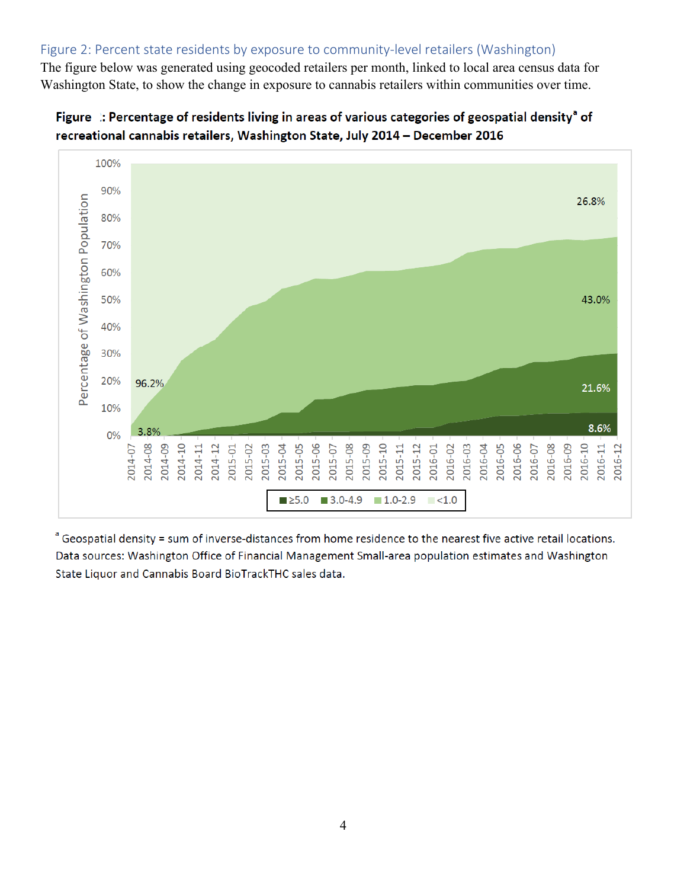# Figure 2: Percent state residents by exposure to community-level retailers (Washington)

The figure below was generated using geocoded retailers per month, linked to local area census data for Washington State, to show the change in exposure to cannabis retailers within communities over time.





<sup>a</sup> Geospatial density = sum of inverse-distances from home residence to the nearest five active retail locations. Data sources: Washington Office of Financial Management Small-area population estimates and Washington State Liquor and Cannabis Board BioTrackTHC sales data.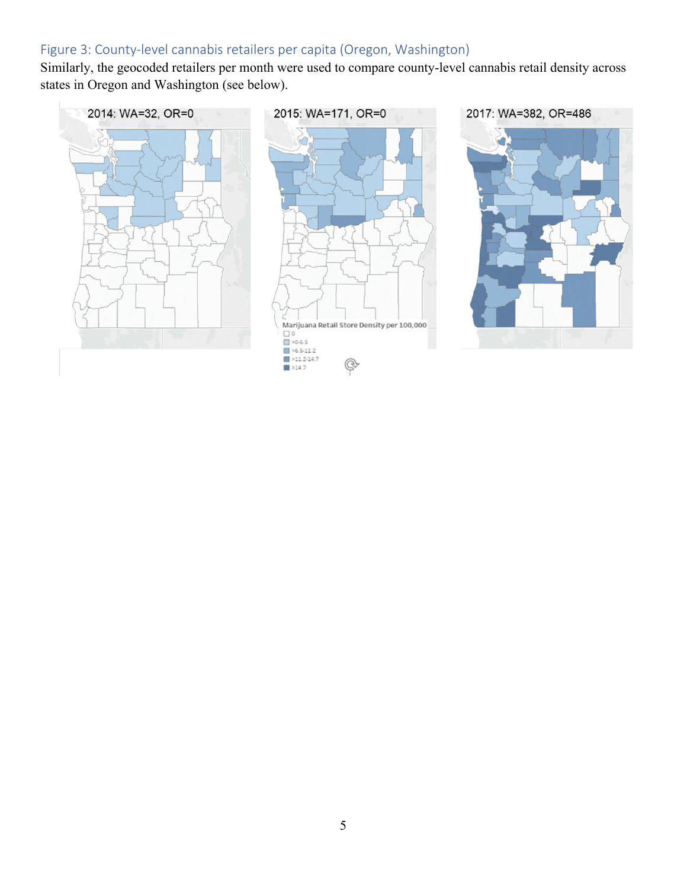# Figure 3: County-level cannabis retailers per capita (Oregon, Washington)

Similarly, the geocoded retailers per month were used to compare county-level cannabis retail density across states in Oregon and Washington (see below).

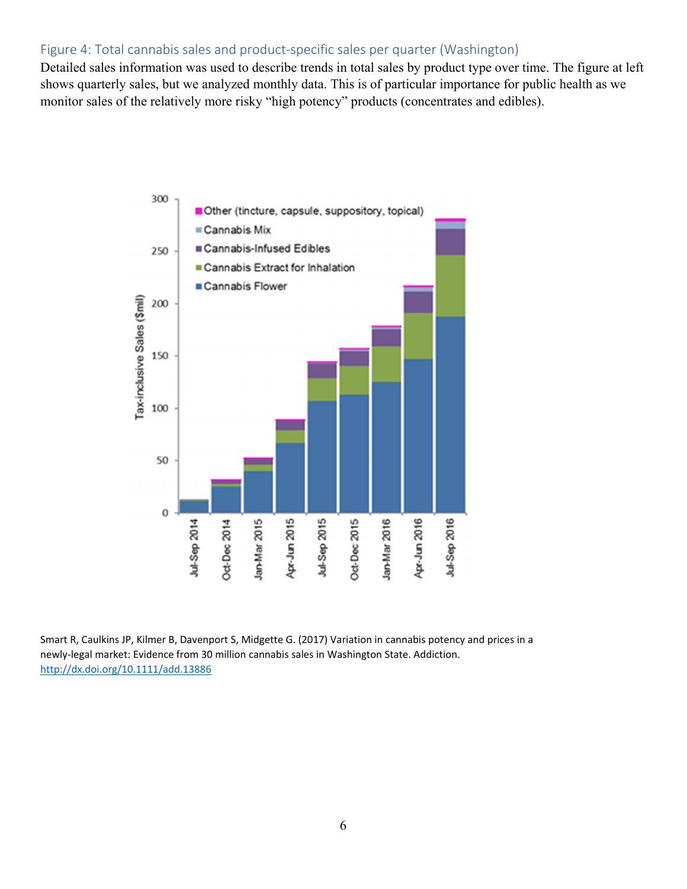## Figure 4: Total cannabis sales and product-specific sales per quarter (Washington)

Detailed sales information was used to describe trends in total sales by product type over time. The figure at left shows quarterly sales, but we analyzed monthly data. This is of particular importance for public health as we monitor sales of the relatively more risky "high potency" products (concentrates and edibles).



Smart R, Caulkins JP, Kilmer B, Davenport S, Midgette G. (2017) Variation in cannabis potency and prices in a newly‐legal market: Evidence from 30 million cannabis sales in Washington State. Addiction. http://dx.doi.org/10.1111/add.13886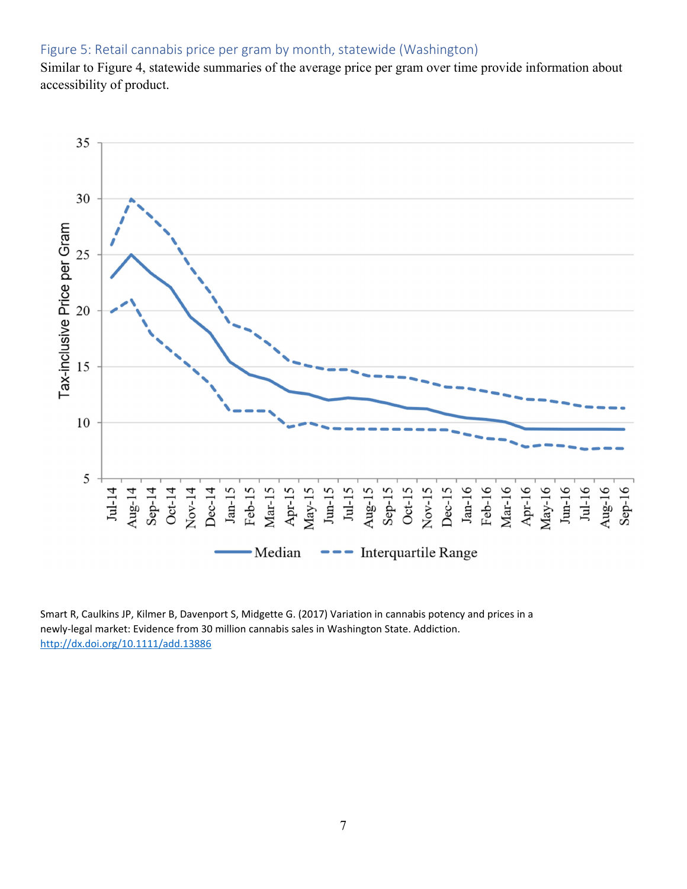## Figure 5: Retail cannabis price per gram by month, statewide (Washington)

Similar to Figure 4, statewide summaries of the average price per gram over time provide information about accessibility of product.



Smart R, Caulkins JP, Kilmer B, Davenport S, Midgette G. (2017) Variation in cannabis potency and prices in a newly‐legal market: Evidence from 30 million cannabis sales in Washington State. Addiction. http://dx.doi.org/10.1111/add.13886